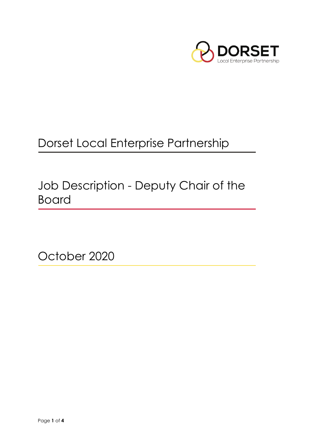

# Dorset Local Enterprise Partnership

Job Description - Deputy Chair of the Board

October 2020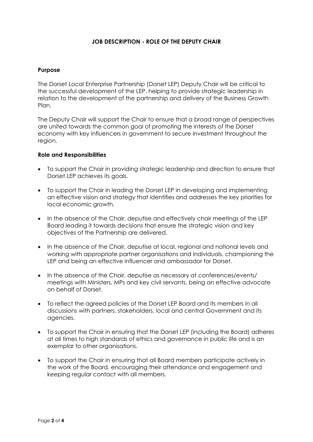# **JOB DESCRIPTION - ROLE OF THE DEPUTY CHAIR**

#### **Purpose**

The Dorset Local Enterprise Partnership (Dorset LEP) Deputy Chair will be critical to the successful development of the LEP, helping to provide strategic leadership in relation to the development of the partnership and delivery of the Business Growth Plan.

The Deputy Chair will support the Chair to ensure that a broad range of perspectives are united towards the common goal of promoting the interests of the Dorset economy with key influencers in government to secure investment throughout the region.

#### **Role and Responsibilities**

- To support the Chair in providing strategic leadership and direction to ensure that Dorset LEP achieves its goals.
- To support the Chair in leading the Dorset LEP in developing and implementing an effective vision and strategy that identifies and addresses the key priorities for local economic growth.
- In the absence of the Chair, deputise and effectively chair meetings of the LEP Board leading it towards decisions that ensure the strategic vision and key objectives of the Partnership are delivered.
- In the absence of the Chair, deputise at local, regional and national levels and working with appropriate partner organisations and individuals, championing the LEP and being an effective influencer and ambassador for Dorset.
- In the absence of the Chair, deputise as necessary at conferences/events/ meetings with Ministers, MPs and key civil servants, being an effective advocate on behalf of Dorset.
- To reflect the agreed policies of the Dorset LEP Board and its members in all discussions with partners, stakeholders, local and central Government and its agencies.
- To support the Chair in ensuring that the Dorset LEP (including the Board) adheres at all times to high standards of ethics and governance in public life and is an exemplar to other organisations.
- To support the Chair in ensuring that all Board members participate actively in the work of the Board, encouraging their attendance and engagement and keeping regular contact with all members.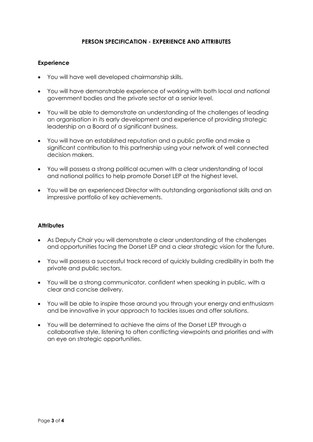# **PERSON SPECIFICATION - EXPERIENCE AND ATTRIBUTES**

## **Experience**

- You will have well developed chairmanship skills.
- You will have demonstrable experience of working with both local and national government bodies and the private sector at a senior level.
- You will be able to demonstrate an understanding of the challenges of leading an organisation in its early development and experience of providing strategic leadership on a Board of a significant business.
- You will have an established reputation and a public profile and make a significant contribution to this partnership using your network of well connected decision makers.
- You will possess a strong political acumen with a clear understanding of local and national politics to help promote Dorset LEP at the highest level.
- You will be an experienced Director with outstanding organisational skills and an impressive portfolio of key achievements.

## **Attributes**

- As Deputy Chair you will demonstrate a clear understanding of the challenges and opportunities facing the Dorset LEP and a clear strategic vision for the future.
- You will possess a successful track record of quickly building credibility in both the private and public sectors.
- You will be a strong communicator, confident when speaking in public, with a clear and concise delivery.
- You will be able to inspire those around you through your energy and enthusiasm and be innovative in your approach to tackles issues and offer solutions.
- You will be determined to achieve the aims of the Dorset LEP through a collaborative style, listening to often conflicting viewpoints and priorities and with an eye on strategic opportunities.